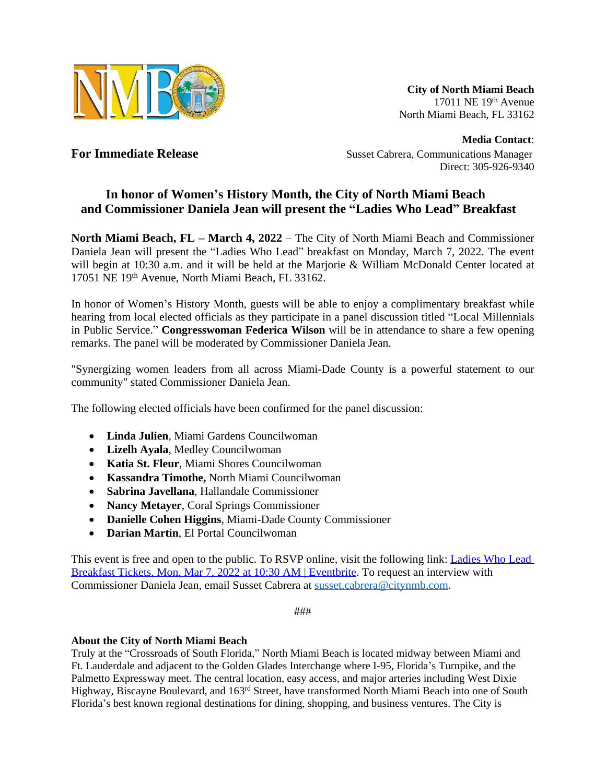

**City of North Miami Beach** 17011 NE 19th Avenue North Miami Beach, FL 33162

**Media Contact**: **For Immediate Release** Susset Cabrera, Communications Manager Direct: 305-926-9340

## **In honor of Women's History Month, the City of North Miami Beach and Commissioner Daniela Jean will present the "Ladies Who Lead" Breakfast**

**North Miami Beach, FL – March 4, 2022** – The City of North Miami Beach and Commissioner Daniela Jean will present the "Ladies Who Lead" breakfast on Monday, March 7, 2022. The event will begin at 10:30 a.m. and it will be held at the Marjorie & William McDonald Center located at 17051 NE 19th Avenue, North Miami Beach, FL 33162.

In honor of Women's History Month, guests will be able to enjoy a complimentary breakfast while hearing from local elected officials as they participate in a panel discussion titled "Local Millennials in Public Service." **Congresswoman Federica Wilson** will be in attendance to share a few opening remarks. The panel will be moderated by Commissioner Daniela Jean.

"Synergizing women leaders from all across Miami-Dade County is a powerful statement to our community" stated Commissioner Daniela Jean.

The following elected officials have been confirmed for the panel discussion:

- **Linda Julien**, Miami Gardens Councilwoman
- **Lizelh Ayala**, Medley Councilwoman
- **Katia St. Fleur**, Miami Shores Councilwoman
- **Kassandra Timothe,** North Miami Councilwoman
- **Sabrina Javellana**, Hallandale Commissioner
- **Nancy Metayer**, Coral Springs Commissioner
- **Danielle Cohen Higgins**, Miami-Dade County Commissioner
- **Darian Martin**, El Portal Councilwoman

This event is free and open to the public. To RSVP online, visit the following link: Ladies Who Lead Breakfast Tickets, Mon, Mar 7, 2022 at 10:30 AM | Eventbrite. To request an interview with Commissioner Daniela Jean, email Susset Cabrera at [susset.cabrera@citynmb.com](mailto:susset.cabrera@citynmb.com).

###

## **About the City of North Miami Beach**

Truly at the "Crossroads of South Florida," North Miami Beach is located midway between Miami and Ft. Lauderdale and adjacent to the Golden Glades Interchange where I-95, Florida's Turnpike, and the Palmetto Expressway meet. The central location, easy access, and major arteries including West Dixie Highway, Biscayne Boulevard, and 163<sup>rd</sup> Street, have transformed North Miami Beach into one of South Florida's best known regional destinations for dining, shopping, and business ventures. The City is